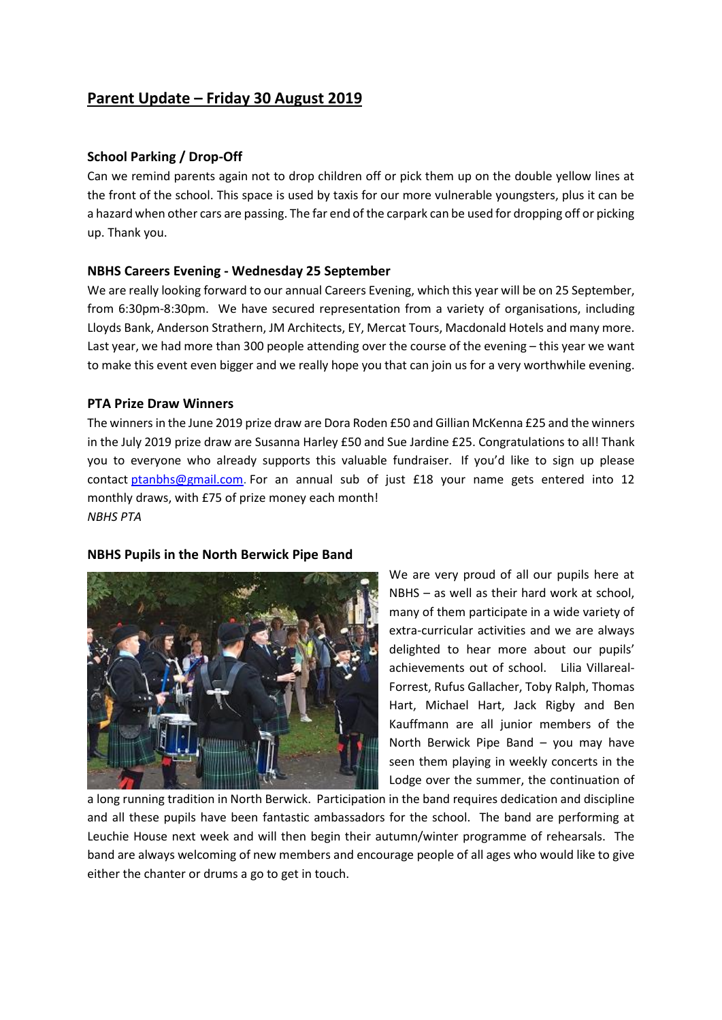# **Parent Update – Friday 30 August 2019**

### **School Parking / Drop-Off**

Can we remind parents again not to drop children off or pick them up on the double yellow lines at the front of the school. This space is used by taxis for our more vulnerable youngsters, plus it can be a hazard when other cars are passing. The far end of the carpark can be used for dropping off or picking up. Thank you.

### **NBHS Careers Evening - Wednesday 25 September**

We are really looking forward to our annual Careers Evening, which this year will be on 25 September, from 6:30pm-8:30pm. We have secured representation from a variety of organisations, including Lloyds Bank, Anderson Strathern, JM Architects, EY, Mercat Tours, Macdonald Hotels and many more. Last year, we had more than 300 people attending over the course of the evening – this year we want to make this event even bigger and we really hope you that can join us for a very worthwhile evening.

# **PTA Prize Draw Winners**

The winnersin the June 2019 prize draw are Dora Roden £50 and Gillian McKenna £25 and the winners in the July 2019 prize draw are Susanna Harley £50 and Sue Jardine £25. Congratulations to all! Thank you to everyone who already supports this valuable fundraiser. If you'd like to sign up please contact [ptanbhs@gmail.com.](mailto:ptanbhs@gmail.com) For an annual sub of just £18 your name gets entered into 12 monthly draws, with £75 of prize money each month! *NBHS PTA*

### **NBHS Pupils in the North Berwick Pipe Band**



We are very proud of all our pupils here at NBHS – as well as their hard work at school, many of them participate in a wide variety of extra-curricular activities and we are always delighted to hear more about our pupils' achievements out of school. Lilia Villareal-Forrest, Rufus Gallacher, Toby Ralph, Thomas Hart, Michael Hart, Jack Rigby and Ben Kauffmann are all junior members of the North Berwick Pipe Band – you may have seen them playing in weekly concerts in the Lodge over the summer, the continuation of

a long running tradition in North Berwick. Participation in the band requires dedication and discipline and all these pupils have been fantastic ambassadors for the school. The band are performing at Leuchie House next week and will then begin their autumn/winter programme of rehearsals. The band are always welcoming of new members and encourage people of all ages who would like to give either the chanter or drums a go to get in touch.